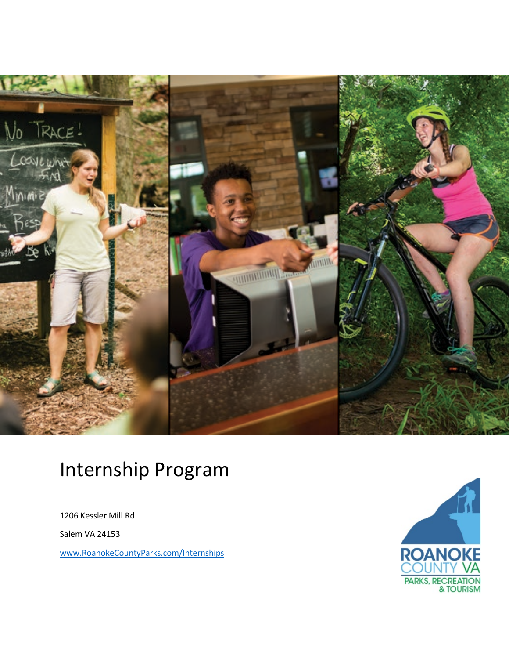

# Internship Program

1206 Kessler Mill Rd

Salem VA 24153

[www.RoanokeCountyParks.com/Internships](https://www.roanokecountyparks.com/553/Internships)

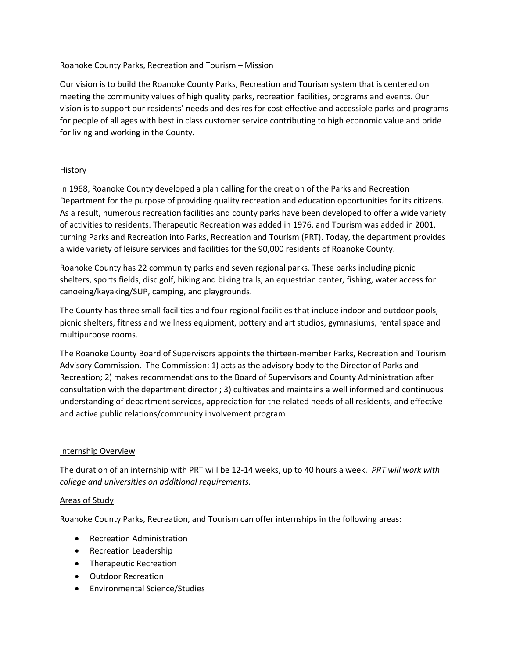### Roanoke County Parks, Recreation and Tourism – Mission

Our vision is to build the Roanoke County Parks, Recreation and Tourism system that is centered on meeting the community values of high quality parks, recreation facilities, programs and events. Our vision is to support our residents' needs and desires for cost effective and accessible parks and programs for people of all ages with best in class customer service contributing to high economic value and pride for living and working in the County.

## History

In 1968, Roanoke County developed a plan calling for the creation of the Parks and Recreation Department for the purpose of providing quality recreation and education opportunities for its citizens. As a result, numerous recreation facilities and county parks have been developed to offer a wide variety of activities to residents. Therapeutic Recreation was added in 1976, and Tourism was added in 2001, turning Parks and Recreation into Parks, Recreation and Tourism (PRT). Today, the department provides a wide variety of leisure services and facilities for the 90,000 residents of Roanoke County.

Roanoke County has 22 community parks and seven regional parks. These parks including picnic shelters, sports fields, disc golf, hiking and biking trails, an equestrian center, fishing, water access for canoeing/kayaking/SUP, camping, and playgrounds.

The County has three small facilities and four regional facilities that include indoor and outdoor pools, picnic shelters, fitness and wellness equipment, pottery and art studios, gymnasiums, rental space and multipurpose rooms.

The Roanoke County Board of Supervisors appoints the thirteen-member Parks, Recreation and Tourism Advisory Commission. The Commission: 1) acts as the advisory body to the Director of Parks and Recreation; 2) makes recommendations to the Board of Supervisors and County Administration after consultation with the department director ; 3) cultivates and maintains a well informed and continuous understanding of department services, appreciation for the related needs of all residents, and effective and active public relations/community involvement program

### Internship Overview

The duration of an internship with PRT will be 12-14 weeks, up to 40 hours a week. *PRT will work with college and universities on additional requirements.*

### Areas of Study

Roanoke County Parks, Recreation, and Tourism can offer internships in the following areas:

- Recreation Administration
- Recreation Leadership
- Therapeutic Recreation
- Outdoor Recreation
- Environmental Science/Studies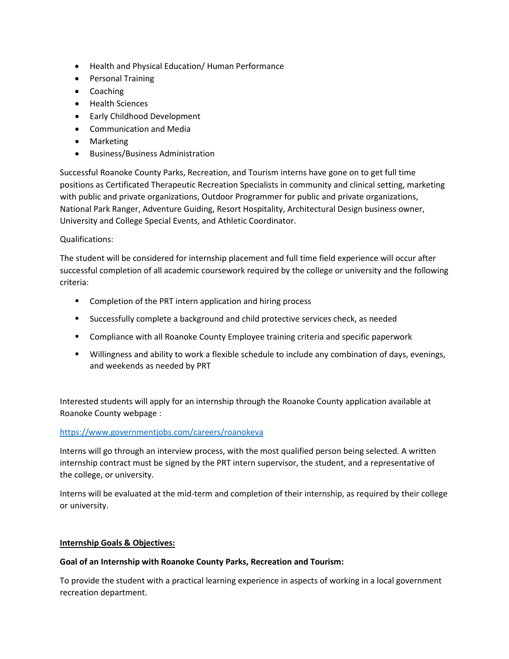- Health and Physical Education/ Human Performance
- Personal Training
- Coaching
- Health Sciences
- Early Childhood Development
- Communication and Media
- Marketing
- Business/Business Administration

Successful Roanoke County Parks, Recreation, and Tourism interns have gone on to get full time positions as Certificated Therapeutic Recreation Specialists in community and clinical setting, marketing with public and private organizations, Outdoor Programmer for public and private organizations, National Park Ranger, Adventure Guiding, Resort Hospitality, Architectural Design business owner, University and College Special Events, and Athletic Coordinator.

## Qualifications:

The student will be considered for internship placement and full time field experience will occur after successful completion of all academic coursework required by the college or university and the following criteria:

- **EXECOMPLE COMPLET** Completion of the PRT intern application and hiring process
- Successfully complete a background and child protective services check, as needed
- Compliance with all Roanoke County Employee training criteria and specific paperwork
- Willingness and ability to work a flexible schedule to include any combination of days, evenings, and weekends as needed by PRT

Interested students will apply for an internship through the Roanoke County application available at Roanoke County webpage :

### <https://www.governmentjobs.com/careers/roanokeva>

Interns will go through an interview process, with the most qualified person being selected. A written internship contract must be signed by the PRT intern supervisor, the student, and a representative of the college, or university.

Interns will be evaluated at the mid-term and completion of their internship, as required by their college or university.

### **Internship Goals & Objectives:**

### **Goal of an Internship with Roanoke County Parks, Recreation and Tourism:**

To provide the student with a practical learning experience in aspects of working in a local government recreation department.